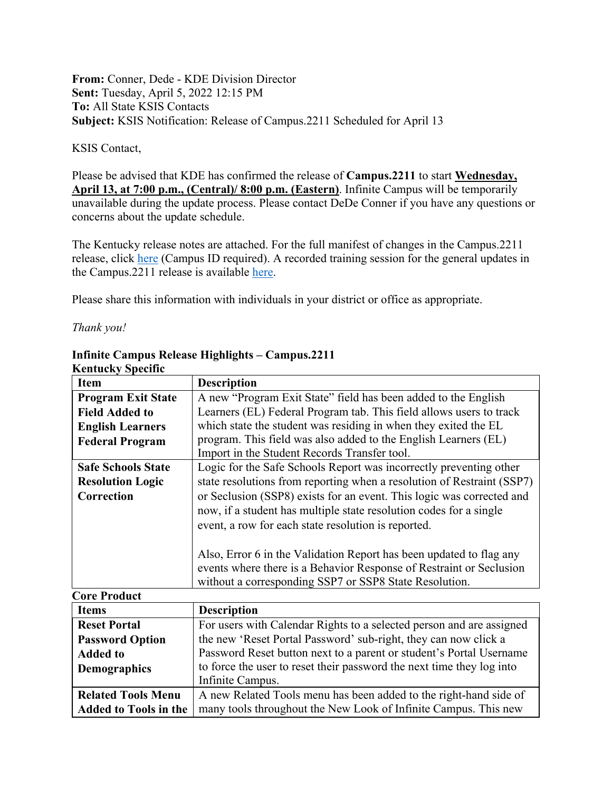**From:** Conner, Dede - KDE Division Director **Sent:** Tuesday, April 5, 2022 12:15 PM **To:** All State KSIS Contacts **Subject:** KSIS Notification: Release of Campus.2211 Scheduled for April 13

## KSIS Contact,

Please be advised that KDE has confirmed the release of **Campus.2211** to start **Wednesday, April 13, at 7:00 p.m., (Central)/ 8:00 p.m. (Eastern)**. Infinite Campus will be temporarily unavailable during the update process. Please contact DeDe Conner if you have any questions or concerns about the update schedule.

The Kentucky release notes are attached. For the full manifest of changes in the Campus.2211 release, click [here](https://kb.infinitecampus.com/help/release-pack-campus2211-march-2022) (Campus ID required). A recorded training session for the general updates in the Campus.2211 release is available [here.](https://university.infinitecampus.com/learn/course/internal/view/elearning/20567/campus2211-sis-release-highlights)

Please share this information with individuals in your district or office as appropriate.

*Thank you!*

| іхспійску эреспіс            |                                                                        |
|------------------------------|------------------------------------------------------------------------|
| <b>Item</b>                  | <b>Description</b>                                                     |
| <b>Program Exit State</b>    | A new "Program Exit State" field has been added to the English         |
| <b>Field Added to</b>        | Learners (EL) Federal Program tab. This field allows users to track    |
| <b>English Learners</b>      | which state the student was residing in when they exited the EL        |
| <b>Federal Program</b>       | program. This field was also added to the English Learners (EL)        |
|                              | Import in the Student Records Transfer tool.                           |
| <b>Safe Schools State</b>    | Logic for the Safe Schools Report was incorrectly preventing other     |
| <b>Resolution Logic</b>      | state resolutions from reporting when a resolution of Restraint (SSP7) |
| Correction                   | or Seclusion (SSP8) exists for an event. This logic was corrected and  |
|                              | now, if a student has multiple state resolution codes for a single     |
|                              | event, a row for each state resolution is reported.                    |
|                              |                                                                        |
|                              | Also, Error 6 in the Validation Report has been updated to flag any    |
|                              | events where there is a Behavior Response of Restraint or Seclusion    |
|                              | without a corresponding SSP7 or SSP8 State Resolution.                 |
| <b>Core Product</b>          |                                                                        |
| <b>Items</b>                 | <b>Description</b>                                                     |
| <b>Reset Portal</b>          | For users with Calendar Rights to a selected person and are assigned   |
| <b>Password Option</b>       | the new 'Reset Portal Password' sub-right, they can now click a        |
| <b>Added to</b>              | Password Reset button next to a parent or student's Portal Username    |
| <b>Demographics</b>          | to force the user to reset their password the next time they log into  |
|                              | Infinite Campus.                                                       |
| <b>Related Tools Menu</b>    | A new Related Tools menu has been added to the right-hand side of      |
| <b>Added to Tools in the</b> | many tools throughout the New Look of Infinite Campus. This new        |

## **Infinite Campus Release Highlights – Campus.2211 Kentucky Specific**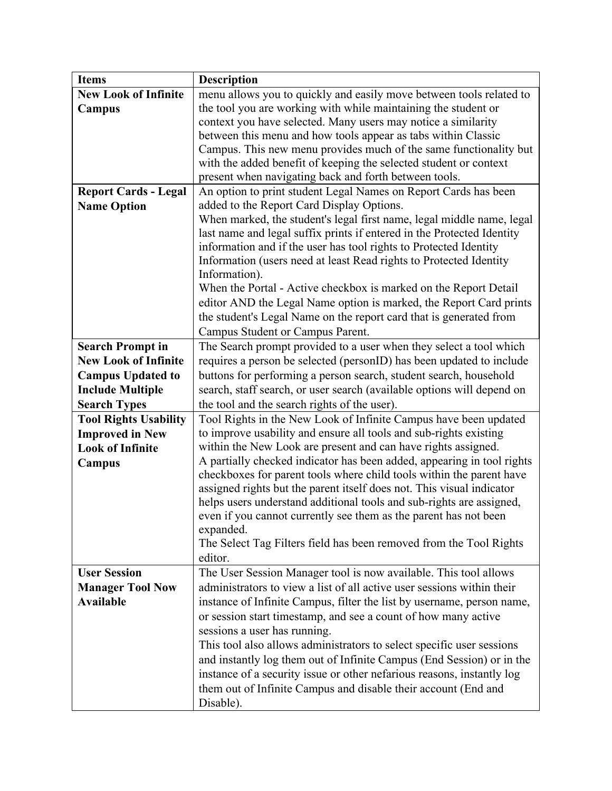| <b>Items</b>                 | <b>Description</b>                                                     |
|------------------------------|------------------------------------------------------------------------|
| <b>New Look of Infinite</b>  | menu allows you to quickly and easily move between tools related to    |
| Campus                       | the tool you are working with while maintaining the student or         |
|                              | context you have selected. Many users may notice a similarity          |
|                              | between this menu and how tools appear as tabs within Classic          |
|                              | Campus. This new menu provides much of the same functionality but      |
|                              | with the added benefit of keeping the selected student or context      |
|                              | present when navigating back and forth between tools.                  |
| <b>Report Cards - Legal</b>  | An option to print student Legal Names on Report Cards has been        |
| <b>Name Option</b>           | added to the Report Card Display Options.                              |
|                              | When marked, the student's legal first name, legal middle name, legal  |
|                              | last name and legal suffix prints if entered in the Protected Identity |
|                              | information and if the user has tool rights to Protected Identity      |
|                              | Information (users need at least Read rights to Protected Identity     |
|                              | Information).                                                          |
|                              | When the Portal - Active checkbox is marked on the Report Detail       |
|                              | editor AND the Legal Name option is marked, the Report Card prints     |
|                              | the student's Legal Name on the report card that is generated from     |
|                              | Campus Student or Campus Parent.                                       |
| <b>Search Prompt in</b>      | The Search prompt provided to a user when they select a tool which     |
| <b>New Look of Infinite</b>  | requires a person be selected (personID) has been updated to include   |
| <b>Campus Updated to</b>     | buttons for performing a person search, student search, household      |
| <b>Include Multiple</b>      | search, staff search, or user search (available options will depend on |
| <b>Search Types</b>          | the tool and the search rights of the user).                           |
| <b>Tool Rights Usability</b> | Tool Rights in the New Look of Infinite Campus have been updated       |
| <b>Improved in New</b>       | to improve usability and ensure all tools and sub-rights existing      |
| <b>Look of Infinite</b>      | within the New Look are present and can have rights assigned.          |
| Campus                       | A partially checked indicator has been added, appearing in tool rights |
|                              | checkboxes for parent tools where child tools within the parent have   |
|                              | assigned rights but the parent itself does not. This visual indicator  |
|                              | helps users understand additional tools and sub-rights are assigned,   |
|                              | even if you cannot currently see them as the parent has not been       |
|                              | expanded.                                                              |
|                              | The Select Tag Filters field has been removed from the Tool Rights     |
|                              | editor.                                                                |
| <b>User Session</b>          | The User Session Manager tool is now available. This tool allows       |
| <b>Manager Tool Now</b>      | administrators to view a list of all active user sessions within their |
| <b>Available</b>             | instance of Infinite Campus, filter the list by username, person name, |
|                              | or session start timestamp, and see a count of how many active         |
|                              | sessions a user has running.                                           |
|                              | This tool also allows administrators to select specific user sessions  |
|                              | and instantly log them out of Infinite Campus (End Session) or in the  |
|                              | instance of a security issue or other nefarious reasons, instantly log |
|                              | them out of Infinite Campus and disable their account (End and         |
|                              | Disable).                                                              |